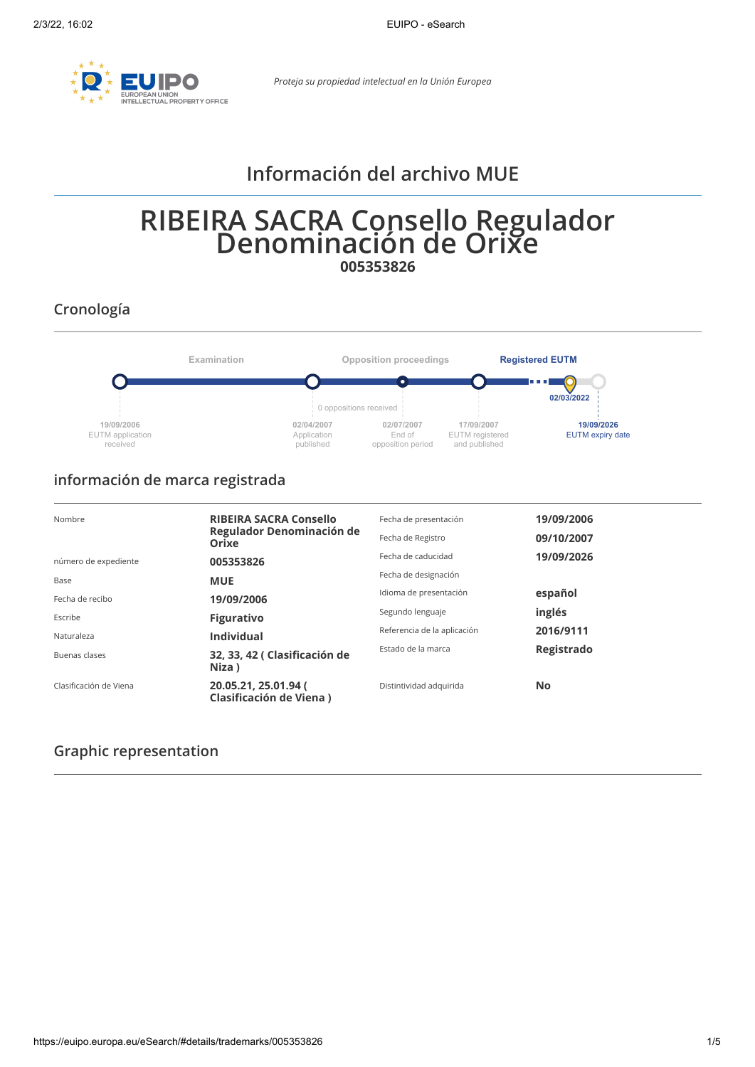

*Proteja su propiedad intelectual en la Unión Europea*

# **Información del archivo MUE**

# **RIBEIRA SACRA Consello Regulador Denominación de Orixe 005353826**

**Cronología**



# **información de marca registrada**

| Nombre                 | <b>RIBEIRA SACRA Consello</b><br>Regulador Denominación de<br><b>Orixe</b> | Fecha de presentación<br>Fecha de Registro | 19/09/2006<br>09/10/2007 |
|------------------------|----------------------------------------------------------------------------|--------------------------------------------|--------------------------|
| número de expediente   | 005353826                                                                  | Fecha de caducidad                         | 19/09/2026               |
| Base                   | <b>MUE</b>                                                                 | Fecha de designación                       |                          |
| Fecha de recibo        | 19/09/2006                                                                 | Idioma de presentación                     | español                  |
| Escribe                | <b>Figurativo</b>                                                          | Segundo lenguaje                           | inglés                   |
| Naturaleza             | <b>Individual</b>                                                          | Referencia de la aplicación                | 2016/9111                |
| Buenas clases          | 32, 33, 42 (Clasificación de<br>Niza)                                      | Estado de la marca                         | Registrado               |
| Clasificación de Viena | 20.05.21, 25.01.94 (<br>Clasificación de Viena)                            | Distintividad adquirida                    | <b>No</b>                |

### **Graphic representation**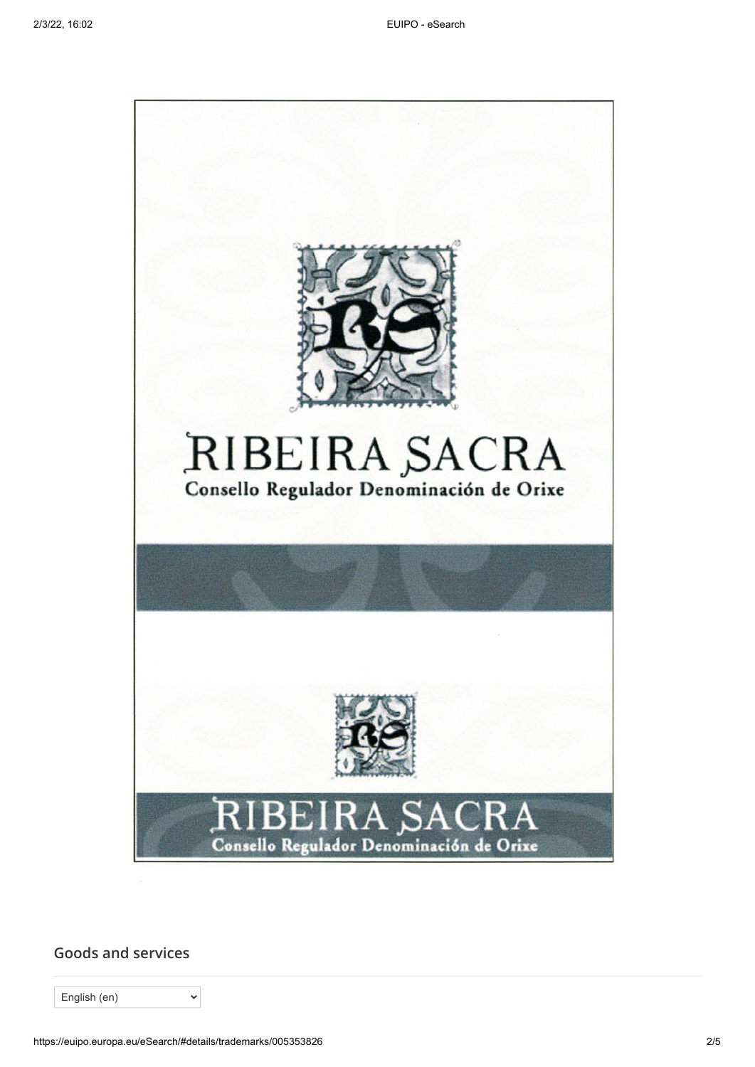

**Goods and services**

English (en)

 $\ddot{\phantom{1}}$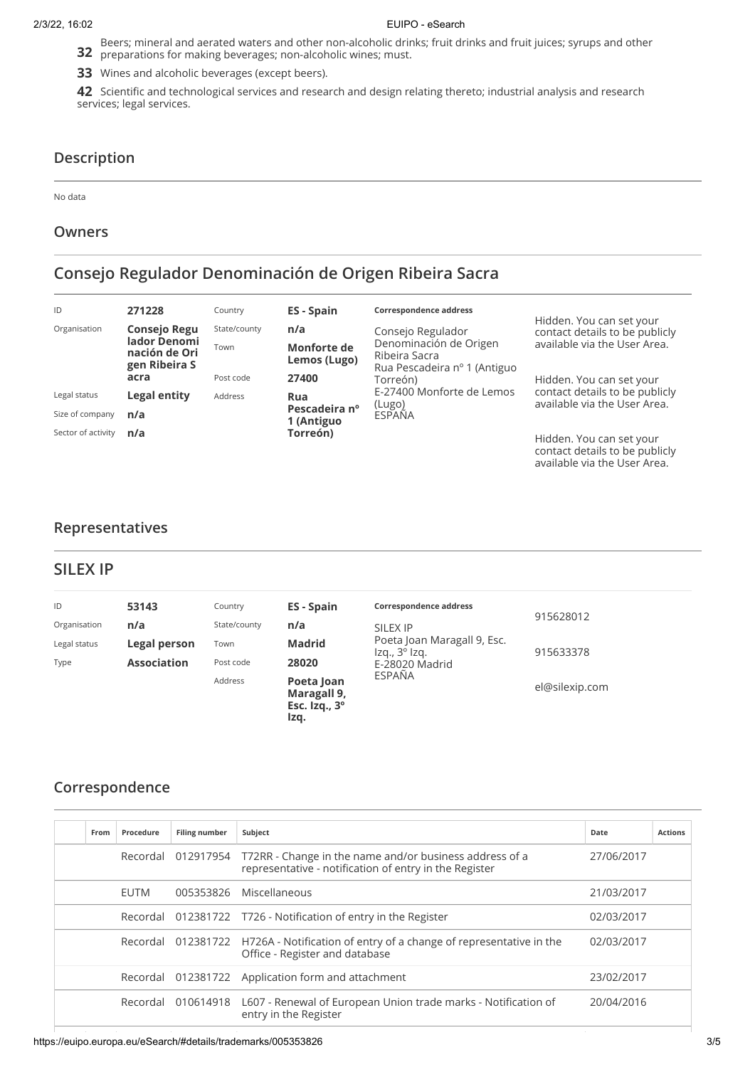#### 2/3/22, 16:02 EUIPO - eSearch

Beers; mineral and aerated waters and other non-alcoholic drinks; fruit drinks and fruit juices; syrups and other<br>**32** preparations for making beverages; non-alcoholic wines; must. preparations for making beverages; non-alcoholic wines; must.

**33** Wines and alcoholic beverages (except beers).

**42** Scientific and technological services and research and design relating thereto; industrial analysis and research services; legal services.

### **Description**

No data

#### **Owners**

# **Consejo Regulador Denominación de Origen Ribeira Sacra**

| ID                 | 271228                                         | Country      | ES - Spain                  | Correspondence address                                                  |                                                                |
|--------------------|------------------------------------------------|--------------|-----------------------------|-------------------------------------------------------------------------|----------------------------------------------------------------|
| Organisation       | <b>Consejo Regu</b>                            | State/county | n/a                         | Consejo Regulador                                                       | Hidden. You can set your<br>contact details to be publicly     |
|                    | lador Denomi<br>nación de Ori<br>gen Ribeira S | Town         | Monforte de<br>Lemos (Lugo) | Denominación de Origen<br>Ribeira Sacra<br>Rua Pescadeira nº 1 (Antiguo | available via the User Area.                                   |
|                    | acra                                           | Post code    | 27400                       | Torreón)                                                                | Hidden. You can set your                                       |
| Legal status       | Legal entity                                   | Address      | Rua                         | E-27400 Monforte de Lemos                                               | contact details to be publicly<br>available via the User Area. |
| Size of company    | n/a                                            |              | Pescadeira nº<br>1 (Antiguo | (Lugo)<br>ESPAÑA                                                        |                                                                |
| Sector of activity | n/a                                            |              | Torreón)                    |                                                                         | Hidden. You can set your<br>contact details to be publicly     |

### **Representatives**

#### **SILEX IP**

| ID           | 53143              | Country      | ES - Spain                                                | Correspondence address<br>SILEX IP<br>Poeta Joan Maragall 9, Esc.<br>Iza., 3 <sup>o</sup> Iza.<br>E-28020 Madrid |                |
|--------------|--------------------|--------------|-----------------------------------------------------------|------------------------------------------------------------------------------------------------------------------|----------------|
| Organisation | n/a                | State/county | n/a                                                       |                                                                                                                  | 915628012      |
| Legal status | Legal person       | Town         | Madrid                                                    |                                                                                                                  | 915633378      |
| Type         | <b>Association</b> | Post code    | 28020                                                     |                                                                                                                  |                |
|              |                    | Address      | Poeta Joan<br>Maragall 9,<br>Esc. $Izq., 3^\circ$<br>Izq. | ESPAÑA                                                                                                           | el@silexip.com |

### **Correspondence**

| From | Procedure   | <b>Filing number</b> | Subject                                                                                                                 | Date       | <b>Actions</b> |
|------|-------------|----------------------|-------------------------------------------------------------------------------------------------------------------------|------------|----------------|
|      |             | Recordal 012917954   | T72RR - Change in the name and/or business address of a<br>representative - notification of entry in the Register       | 27/06/2017 |                |
|      | <b>EUTM</b> | 005353826            | Miscellaneous                                                                                                           | 21/03/2017 |                |
|      |             |                      | Recordal 012381722 T726 - Notification of entry in the Register                                                         | 02/03/2017 |                |
|      |             |                      | Recordal 012381722 H726A - Notification of entry of a change of representative in the<br>Office - Register and database | 02/03/2017 |                |
|      |             |                      | Recordal 012381722 Application form and attachment                                                                      | 23/02/2017 |                |
|      |             |                      | Recordal 010614918 L607 - Renewal of European Union trade marks - Notification of<br>entry in the Register              | 20/04/2016 |                |

available via the [User Area.](https://euipo.europa.eu/ohimportal/web/guest/login)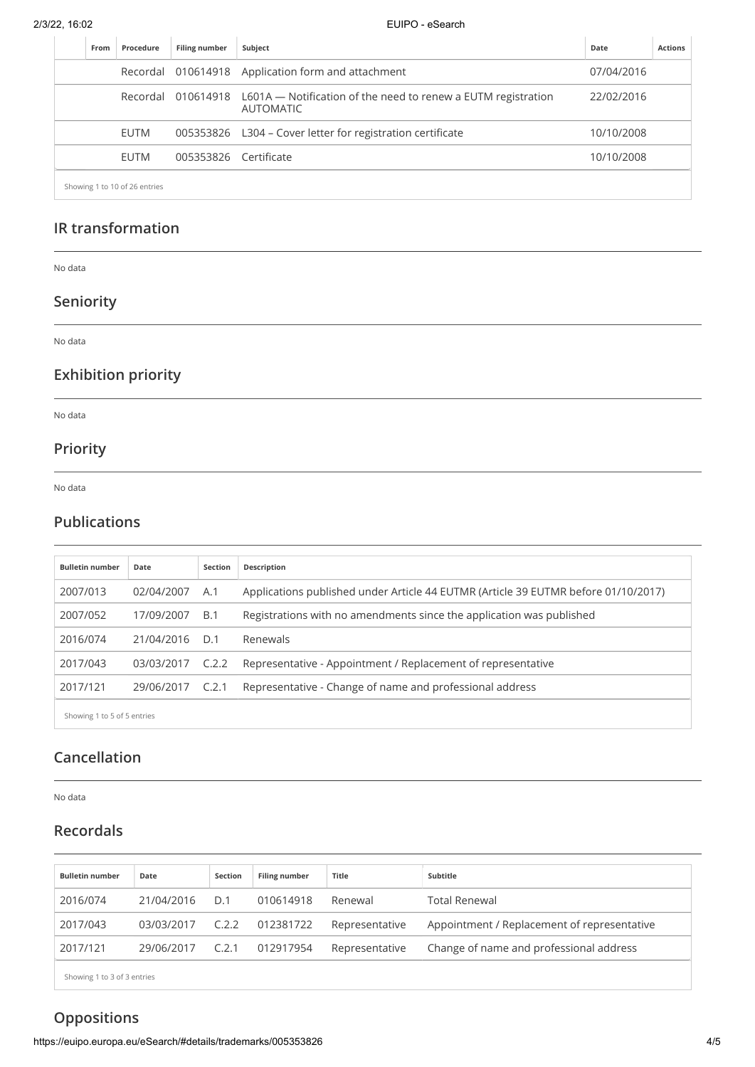2/3/22, 16:02 EUIPO - eSearch

| From | Procedure                     | <b>Filing number</b> | Subject<br>Date                                                                                      |            | <b>Actions</b> |
|------|-------------------------------|----------------------|------------------------------------------------------------------------------------------------------|------------|----------------|
|      |                               |                      | Recordal 010614918 Application form and attachment                                                   | 07/04/2016 |                |
|      |                               |                      | Recordal 010614918 L601A — Notification of the need to renew a EUTM registration<br><b>AUTOMATIC</b> | 22/02/2016 |                |
|      | EUTM                          |                      | 005353826 L304 - Cover letter for registration certificate                                           | 10/10/2008 |                |
|      | EUTM                          | 005353826            | Certificate                                                                                          | 10/10/2008 |                |
|      | Showing 1 to 10 of 26 entries |                      |                                                                                                      |            |                |

### **IR transformation**

No data

# **Seniority**

No data

# **Exhibition priority**

No data

### **Priority**

No data

### **Publications**

| <b>Bulletin number</b>      | Date       | Section | Description                                                                        |
|-----------------------------|------------|---------|------------------------------------------------------------------------------------|
| 2007/013                    | 02/04/2007 | A.1     | Applications published under Article 44 EUTMR (Article 39 EUTMR before 01/10/2017) |
| 2007/052                    | 17/09/2007 | B.1     | Registrations with no amendments since the application was published               |
| 2016/074                    | 21/04/2016 | D.1     | Renewals                                                                           |
| 2017/043                    | 03/03/2017 | C.2.2   | Representative - Appointment / Replacement of representative                       |
| 2017/121                    | 29/06/2017 | C.2.1   | Representative - Change of name and professional address                           |
| Showing 1 to 5 of 5 entries |            |         |                                                                                    |

## **Cancellation**

No data

# **Recordals**

| <b>Bulletin number</b> | Date       | Section | Filing number | <b>Title</b>   | Subtitle                                    |
|------------------------|------------|---------|---------------|----------------|---------------------------------------------|
| 2016/074               | 21/04/2016 | D.1     | 010614918     | Renewal        | <b>Total Renewal</b>                        |
| 2017/043               | 03/03/2017 | C.2.2   | 012381722     | Representative | Appointment / Replacement of representative |
| 2017/121               | 29/06/2017 | C.2.1   | 012917954     | Representative | Change of name and professional address     |

Showing 1 to 3 of 3 entries

# **Oppositions**